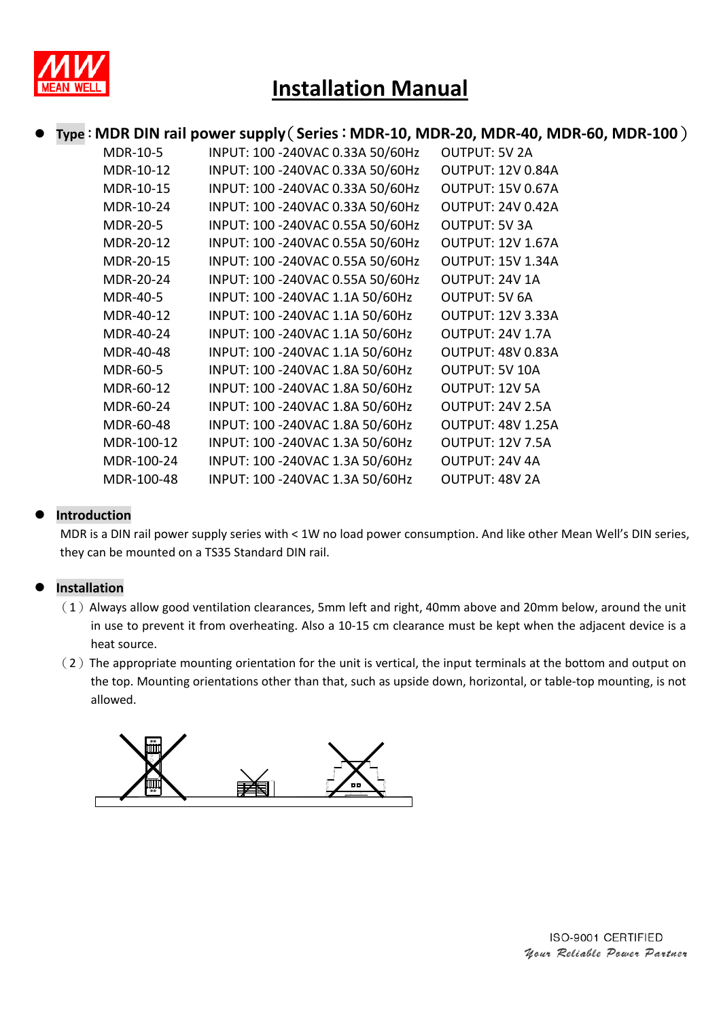

### Type: MDR DIN rail power supply (Series: MDR-10, MDR-20, MDR-40, MDR-60, MDR-100)

| <b>MDR-10-5</b> | INPUT: 100 - 240 VAC 0.33A 50/60 Hz | <b>OUTPUT: 5V 2A</b>     |
|-----------------|-------------------------------------|--------------------------|
| MDR-10-12       | INPUT: 100 - 240 VAC 0.33A 50/60 Hz | <b>OUTPUT: 12V 0.84A</b> |
| MDR-10-15       | INPUT: 100 - 240 VAC 0.33A 50/60 Hz | <b>OUTPUT: 15V 0.67A</b> |
| MDR-10-24       | INPUT: 100 - 240 VAC 0.33A 50/60 Hz | <b>OUTPUT: 24V 0.42A</b> |
| <b>MDR-20-5</b> | INPUT: 100 -240VAC 0.55A 50/60Hz    | <b>OUTPUT: 5V 3A</b>     |
| MDR-20-12       | INPUT: 100 -240VAC 0.55A 50/60Hz    | <b>OUTPUT: 12V 1.67A</b> |
| MDR-20-15       | INPUT: 100 -240VAC 0.55A 50/60Hz    | <b>OUTPUT: 15V 1.34A</b> |
| MDR-20-24       | INPUT: 100 - 240VAC 0.55A 50/60Hz   | OUTPUT: 24V 1A           |
| <b>MDR-40-5</b> | INPUT: 100 -240VAC 1.1A 50/60Hz     | <b>OUTPUT: 5V 6A</b>     |
| MDR-40-12       | INPUT: 100 -240VAC 1.1A 50/60Hz     | <b>OUTPUT: 12V 3.33A</b> |
| MDR-40-24       | INPUT: 100 -240VAC 1.1A 50/60Hz     | OUTPUT: 24V 1.7A         |
| MDR-40-48       | INPUT: 100 -240VAC 1.1A 50/60Hz     | OUTPUT: 48V 0.83A        |
| <b>MDR-60-5</b> | INPUT: 100 -240VAC 1.8A 50/60Hz     | <b>OUTPUT: 5V 10A</b>    |
| MDR-60-12       | INPUT: 100 -240VAC 1.8A 50/60Hz     | OUTPUT: 12V 5A           |
| MDR-60-24       | INPUT: 100 -240VAC 1.8A 50/60Hz     | OUTPUT: 24V 2.5A         |
| MDR-60-48       | INPUT: 100 -240VAC 1.8A 50/60Hz     | <b>OUTPUT: 48V 1.25A</b> |
| MDR-100-12      | INPUT: 100 - 240 VAC 1.3A 50/60 Hz  | <b>OUTPUT: 12V 7.5A</b>  |
| MDR-100-24      | INPUT: 100 - 240 VAC 1.3A 50/60 Hz  | OUTPUT: 24V 4A           |
| MDR-100-48      | INPUT: 100 - 240 VAC 1.3A 50/60 Hz  | OUTPUT: 48V 2A           |

### **Introduction**

MDR is a DIN rail power supply series with < 1W no load power consumption. And like other Mean Well's DIN series, they can be mounted on a TS35 Standard DIN rail.

#### **Installation**

- $(1)$  Always allow good ventilation clearances, 5mm left and right, 40mm above and 20mm below, around the unit in use to prevent it from overheating. Also a 10‐15 cm clearance must be kept when the adjacent device is a heat source.
- $(2)$  The appropriate mounting orientation for the unit is vertical, the input terminals at the bottom and output on the top. Mounting orientations other than that, such as upside down, horizontal, or table‐top mounting, is not allowed.



ISO-9001 CERTIFIED Your Reliable Power Partuer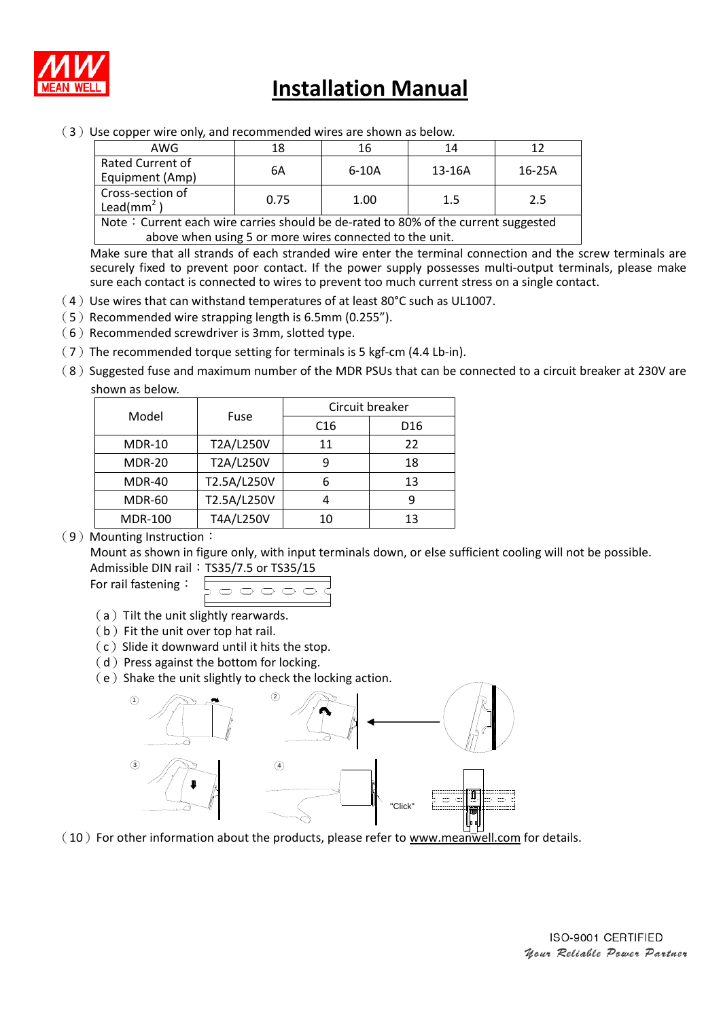

# **Installation Manual**

 $(3)$  Use copper wire only, and recommended wires are shown as below.

| AWG                                                                                | 18   | 16      | 14     |          |  |  |  |
|------------------------------------------------------------------------------------|------|---------|--------|----------|--|--|--|
| Rated Current of<br>Equipment (Amp)                                                | 6A   | $6-10A$ | 13-16A | $16-25A$ |  |  |  |
| Cross-section of<br>Lead( $mm2$ )                                                  | 0.75 | 1.00    | 1.5    | 2.5      |  |  |  |
| Note: Current each wire carries should be de-rated to 80% of the current suggested |      |         |        |          |  |  |  |

above when using 5 or more wires connected to the unit.

Make sure that all strands of each stranded wire enter the terminal connection and the screw terminals are securely fixed to prevent poor contact. If the power supply possesses multi-output terminals, please make sure each contact is connected to wires to prevent too much current stress on a single contact.

- $(4)$  Use wires that can withstand temperatures of at least 80°C such as UL1007.
- (5)Recommended wire strapping length is 6.5mm (0.255").
- $(6)$  Recommended screwdriver is 3mm, slotted type.
- $(7)$  The recommended torque setting for terminals is 5 kgf-cm (4.4 Lb-in).
- (8) Suggested fuse and maximum number of the MDR PSUs that can be connected to a circuit breaker at 230V are shown as below.

| Model          | Fuse        | Circuit breaker |                 |  |
|----------------|-------------|-----------------|-----------------|--|
|                |             | C <sub>16</sub> | D <sub>16</sub> |  |
| <b>MDR-10</b>  | T2A/L250V   | 11              | 22              |  |
| <b>MDR-20</b>  | T2A/L250V   | q               | 18              |  |
| <b>MDR-40</b>  | T2.5A/L250V |                 | 13              |  |
| <b>MDR-60</b>  | T2.5A/L250V |                 | q               |  |
| <b>MDR-100</b> | T4A/L250V   | 10              | 13              |  |

#### (9) Mounting Instruction:

Mount as shown in figure only, with input terminals down, or else sufficient cooling will not be possible. **Admissib** 

For rail fastening:

- (a) Tilt the unit slightly rearwards.
- $(b)$  Fit the unit over top hat rail.
- $(c)$  Slide it downward until it hits the stop.
- $(d)$  Press against the bottom for locking.
- $(e)$  Shake the unit slightly to check the locking action.



 $(10)$  For other information about the products, please refer to www.meanwell.com for details.